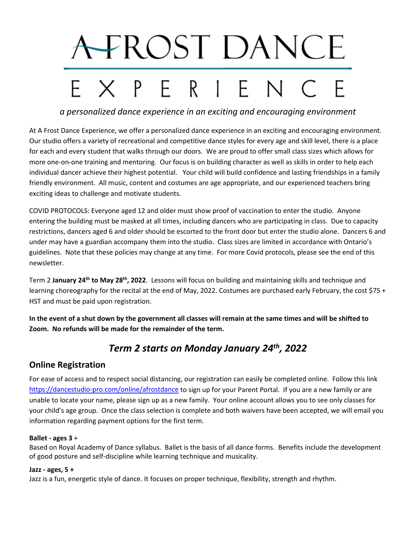# A-FROST DANCE EXPERIENC

*a personalized dance experience in an exciting and encouraging environment*

At A Frost Dance Experience, we offer a personalized dance experience in an exciting and encouraging environment. Our studio offers a variety of recreational and competitive dance styles for every age and skill level, there is a place for each and every student that walks through our doors. We are proud to offer small class sizes which allows for more one-on-one training and mentoring. Our focus is on building character as well as skills in order to help each individual dancer achieve their highest potential. Your child will build confidence and lasting friendships in a family friendly environment. All music, content and costumes are age appropriate, and our experienced teachers bring exciting ideas to challenge and motivate students.

COVID PROTOCOLS: Everyone aged 12 and older must show proof of vaccination to enter the studio. Anyone entering the building must be masked at all times, including dancers who are participating in class. Due to capacity restrictions, dancers aged 6 and older should be escorted to the front door but enter the studio alone. Dancers 6 and under may have a guardian accompany them into the studio. Class sizes are limited in accordance with Ontario's guidelines. Note that these policies may change at any time. For more Covid protocols, please see the end of this newsletter.

Term 2 **January 24th to May 28th, 2022**. Lessons will focus on building and maintaining skills and technique and learning choreography for the recital at the end of May, 2022. Costumes are purchased early February, the cost \$75 + HST and must be paid upon registration.

**In the event of a shut down by the government all classes will remain at the same times and will be shifted to Zoom. No refunds will be made for the remainder of the term.** 

# *Term 2 starts on Monday January 24th, 2022*

## **Online Registration**

For ease of access and to respect social distancing, our registration can easily be completed online. Follow this link <https://dancestudio-pro.com/online/afrostdance> to sign up for your Parent Portal. If you are a new family or are unable to locate your name, please sign up as a new family. Your online account allows you to see only classes for your child's age group. Once the class selection is complete and both waivers have been accepted, we will email you information regarding payment options for the first term.

#### **Ballet - ages 3** +

Based on Royal Academy of Dance syllabus. Ballet is the basis of all dance forms. Benefits include the development of good posture and self-discipline while learning technique and musicality.

#### **Jazz - ages, 5 +**

Jazz is a fun, energetic style of dance. It focuses on proper technique, flexibility, strength and rhythm.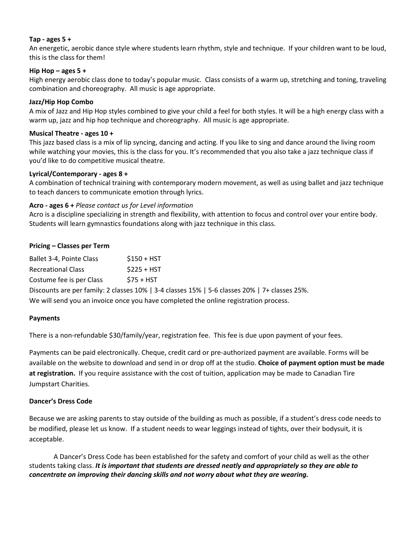#### **Tap - ages 5 +**

An energetic, aerobic dance style where students learn rhythm, style and technique. If your children want to be loud, this is the class for them!

#### **Hip Hop – ages 5 +**

High energy aerobic class done to today's popular music. Class consists of a warm up, stretching and toning, traveling combination and choreography. All music is age appropriate.

#### **Jazz/Hip Hop Combo**

A mix of Jazz and Hip Hop styles combined to give your child a feel for both styles. It will be a high energy class with a warm up, jazz and hip hop technique and choreography. All music is age appropriate.

#### **Musical Theatre - ages 10 +**

This jazz based class is a mix of lip syncing, dancing and acting. If you like to sing and dance around the living room while watching your movies, this is the class for you. It's recommended that you also take a jazz technique class if you'd like to do competitive musical theatre.

#### **Lyrical/Contemporary - ages 8 +**

A combination of technical training with contemporary modern movement, as well as using ballet and jazz technique to teach dancers to communicate emotion through lyrics.

#### **Acro - ages 6 +** *Please contact us for Level information*

Acro is a discipline specializing in strength and flexibility, with attention to focus and control over your entire body. Students will learn gymnastics foundations along with jazz technique in this class.

#### **Pricing – Classes per Term**

| Ballet 3-4, Pointe Class  | $$150 + HST$ |
|---------------------------|--------------|
| <b>Recreational Class</b> | $$225 + HST$ |
| Costume fee is per Class  | $$75 + HST$  |

Discounts are per family: 2 classes 10% | 3-4 classes 15% | 5-6 classes 20% | 7+ classes 25%. We will send you an invoice once you have completed the online registration process.

#### **Payments**

There is a non-refundable \$30/family/year, registration fee. This fee is due upon payment of your fees.

Payments can be paid electronically. Cheque, credit card or pre-authorized payment are available. Forms will be available on the website to download and send in or drop off at the studio. **Choice of payment option must be made at registration.** If you require assistance with the cost of tuition, application may be made to Canadian Tire Jumpstart Charities.

#### **Dancer's Dress Code**

Because we are asking parents to stay outside of the building as much as possible, if a student's dress code needs to be modified, please let us know. If a student needs to wear leggings instead of tights, over their bodysuit, it is acceptable.

A Dancer's Dress Code has been established for the safety and comfort of your child as well as the other students taking class. *It is important that students are dressed neatly and appropriately so they are able to concentrate on improving their dancing skills and not worry about what they are wearing.*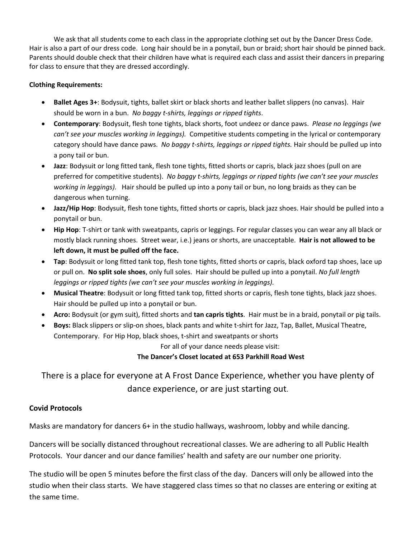We ask that all students come to each class in the appropriate clothing set out by the Dancer Dress Code. Hair is also a part of our dress code. Long hair should be in a ponytail, bun or braid; short hair should be pinned back. Parents should double check that their children have what is required each class and assist their dancers in preparing for class to ensure that they are dressed accordingly.

#### **Clothing Requirements:**

- **Ballet Ages 3+**: Bodysuit, tights, ballet skirt or black shorts and leather ballet slippers (no canvas). Hair should be worn in a bun. *No baggy t-shirts, leggings or ripped tights*.
- **Contemporary**: Bodysuit, flesh tone tights, black shorts, foot undeez or dance paws. *Please no leggings (we can't see your muscles working in leggings).* Competitive students competing in the lyrical or contemporary category should have dance paws. *No baggy t-shirts, leggings or ripped tights.* Hair should be pulled up into a pony tail or bun.
- **Jazz**: Bodysuit or long fitted tank, flesh tone tights, fitted shorts or capris, black jazz shoes (pull on are preferred for competitive students). *No baggy t-shirts, leggings or ripped tights (we can't see your muscles working in leggings).* Hair should be pulled up into a pony tail or bun, no long braids as they can be dangerous when turning.
- **Jazz/Hip Hop**: Bodysuit, flesh tone tights, fitted shorts or capris, black jazz shoes. Hair should be pulled into a ponytail or bun.
- **Hip Hop**: T-shirt or tank with sweatpants, capris or leggings. For regular classes you can wear any all black or mostly black running shoes. Street wear, i.e.) jeans or shorts, are unacceptable. **Hair is not allowed to be left down, it must be pulled off the face.**
- **Tap**: Bodysuit or long fitted tank top, flesh tone tights, fitted shorts or capris, black oxford tap shoes, lace up or pull on. **No split sole shoes**, only full soles. Hair should be pulled up into a ponytail. *No full length leggings or ripped tights (we can't see your muscles working in leggings).*
- **Musical Theatre**: Bodysuit or long fitted tank top, fitted shorts or capris, flesh tone tights, black jazz shoes. Hair should be pulled up into a ponytail or bun.
- **Acro:** Bodysuit (or gym suit), fitted shorts and **tan capris tights**. Hair must be in a braid, ponytail or pig tails.
- **Boys:** Black slippers or slip-on shoes, black pants and white t-shirt for Jazz, Tap, Ballet, Musical Theatre, Contemporary. For Hip Hop, black shoes, t-shirt and sweatpants or shorts

For all of your dance needs please visit:

**The Dancer's Closet located at 653 Parkhill Road West**

There is a place for everyone at A Frost Dance Experience, whether you have plenty of dance experience, or are just starting out.

### **Covid Protocols**

Masks are mandatory for dancers 6+ in the studio hallways, washroom, lobby and while dancing.

Dancers will be socially distanced throughout recreational classes. We are adhering to all Public Health Protocols. Your dancer and our dance families' health and safety are our number one priority.

The studio will be open 5 minutes before the first class of the day. Dancers will only be allowed into the studio when their class starts. We have staggered class times so that no classes are entering or exiting at the same time.